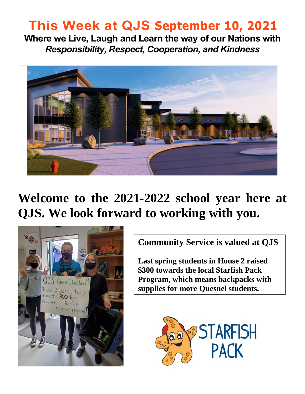# **This Week at QJS September 10, 2021**

**Where we Live, Laugh and Learn the way of our Nations with**  *Responsibility, Respect, Cooperation, and Kindness* 



# **Welcome to the 2021-2022 school year here at QJS. We look forward to working with you.**



**Community Service is valued at QJS** 

**Last spring students in House 2 raised \$300 towards the local Starfish Pack Program, which means backpacks with supplies for more Quesnel students.** 

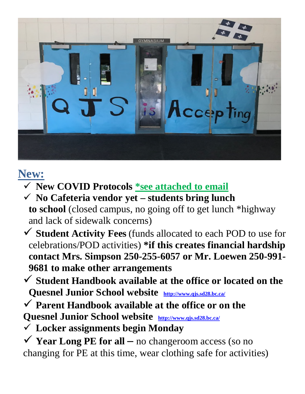

## **New:**

- **New COVID Protocols \*see attached to email**
- **No Cafeteria vendor yet students bring lunch to school** (closed campus, no going off to get lunch \*highway and lack of sidewalk concerns)
- **Student Activity Fees** (funds allocated to each POD to use for celebrations/POD activities) **\*if this creates financial hardship contact Mrs. Simpson 250-255-6057 or Mr. Loewen 250-991- 9681 to make other arrangements**
- **Student Handbook available at the office or located on the Quesnel Junior School website <http://www.qjs.sd28.bc.ca/>**
- **Parent Handbook available at the office or on the**
- **Quesnel Junior School website <http://www.qjs.sd28.bc.ca/>**
- **Locker assignments begin Monday**
- $\checkmark$  **Year Long PE for all –** no changeroom access (so no changing for PE at this time, wear clothing safe for activities)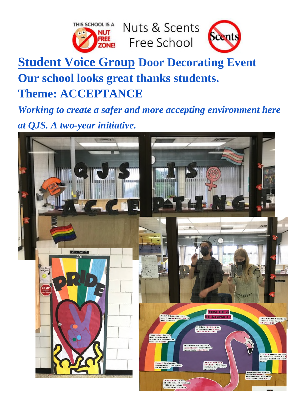

## **Student Voice Group Door Decorating Event Our school looks great thanks students. Theme: ACCEPTANCE**

*Working to create a safer and more accepting environment here at QJS. A two-year initiative.*

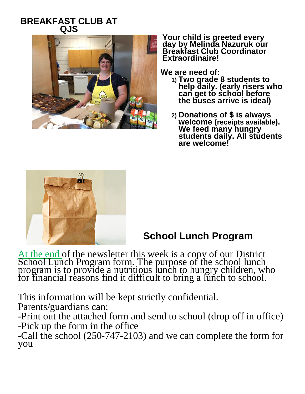#### **BREAKFAST CLUB AT QJS**



**Your child is greeted every day by Melinda Nazuruk our Breakfast Club Coordinator Extraordinaire!** 

**We are need of:** 

- **1) Two grade 8 students to help daily. (early risers who can get to school before the buses arrive is ideal)**
- **2) Donations of \$ is always welcome (receipts available). We feed many hungry students daily. All students are welcome!**



### **School Lunch Program**

At the end of the newsletter this week is a copy of our District School Lunch Program form. The purpose of the school lunch program is to provide a nutritious lunch to hungry children, who for financial reasons find it difficult to bring a lunch to school.

This information will be kept strictly confidential.

Parents/guardians can:

-Print out the attached form and send to school (drop off in office) -Pick up the form in the office

-Call the school (250-747-2103) and we can complete the form for you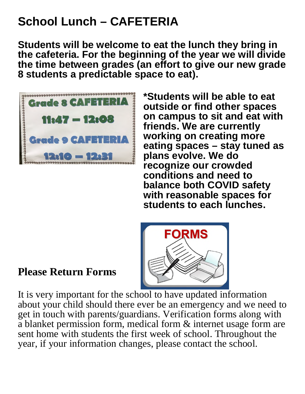# **School Lunch – CAFETERIA**

**Students will be welcome to eat the lunch they bring in the cafeteria. For the beginning of the year we will divide the time between grades (an effort to give our new grade 8 students a predictable space to eat).** 



**\*Students will be able to eat outside or find other spaces on campus to sit and eat with friends. We are currently working on creating more eating spaces – stay tuned as plans evolve. We do recognize our crowded conditions and need to balance both COVID safety with reasonable spaces for students to each lunches.** 



### **Please Return Forms**

It is very important for the school to have updated information about your child should there ever be an emergency and we need to get in touch with parents/guardians. Verification forms along with a blanket permission form, medical form & internet usage form are sent home with students the first week of school. Throughout the year, if your information changes, please contact the school.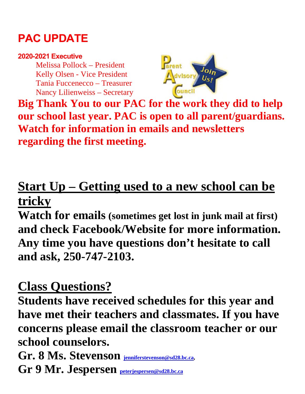## **PAC UPDATE**

#### **2020-2021 Executive**

Melissa Pollock – President Kelly Olsen - Vice President Tania Fuccenecco – Treasurer Nancy Lilienweiss – Secretary



**Big Thank You to our PAC for the work they did to help our school last year. PAC is open to all parent/guardians. Watch for information in emails and newsletters regarding the first meeting.** 

# **Start Up – Getting used to a new school can be tricky**

**Watch for emails (sometimes get lost in junk mail at first) and check Facebook/Website for more information. Any time you have questions don't hesitate to call and ask, 250-747-2103.** 

## **Class Questions?**

**Students have received schedules for this year and have met their teachers and classmates. If you have concerns please email the classroom teacher or our school counselors.** 

**Gr. 8 Ms. Stevenson [jenniferstevenson@sd28.bc.ca,](mailto:jenniferstevenson@sd28.bc.ca) Gr 9 Mr. Jespersen [peterjespersen@sd28.bc.ca](mailto:peterjespersen@sd28.bc.ca)**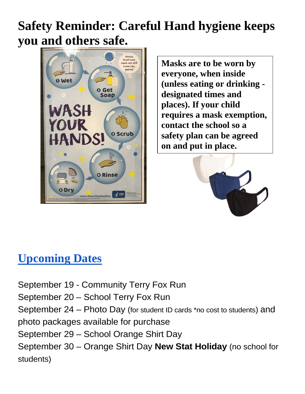# **Safety Reminder: Careful Hand hygiene keeps you and others safe.**



**Masks are to be worn by everyone, when inside (unless eating or drinking designated times and places). If your child requires a mask exemption, contact the school so a safety plan can be agreed on and put in place.** 



### **Upcoming Dates**

September 19 - Community Terry Fox Run September 20 – School Terry Fox Run September 24 – Photo Day (for student ID cards \*no cost to students) and photo packages available for purchase September 29 – School Orange Shirt Day September 30 – Orange Shirt Day **New Stat Holiday** (no school for students)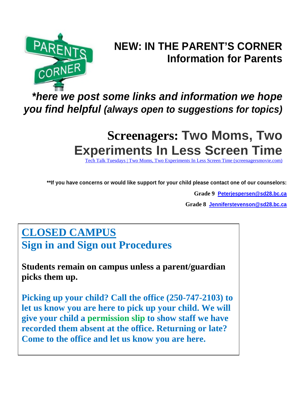

## **NEW: IN THE PARENT'S CORNER Information for Parents**

## *\*here we post some links and information we hope you find helpful (always open to suggestions for topics)*

# **Screenagers: Two Moms, Two Experiments In Less Screen Time**

Tuesdays | Two Moms, Two Experiments In Less Screen Time (screenagersmovie.com)

**\*\*If you have concerns or would like support for your child please contact one of our counselors:**

**Grade 9 [Peterjespersen@sd28.bc.ca](mailto:Peterjespersen@sd28.bc.ca)**

**Grade 8 [Jenniferstevenson@sd28.bc.ca](mailto:Jenniferstevenson@sd28.bc.ca)**

### **CLOSED CAMPUS**

**Sign in and Sign out Procedures**

**Students remain on campus unless a parent/guardian picks them up.** 

**Picking up your child? Call the office (250-747-2103) to let us know you are here to pick up your child. We will give your child a permission slip to show staff we have recorded them absent at the office. Returning or late? Come to the office and let us know you are here.**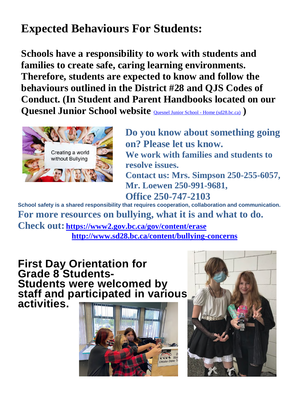## **Expected Behaviours For Students:**

**Schools have a responsibility to work with students and families to create safe, caring learning environments. Therefore, students are expected to know and follow the behaviours outlined in the District #28 and QJS Codes of Conduct. (In Student and Parent Handbooks located on our Quesnel Junior School website** [Quesnel Junior School - Home \(sd28.bc.ca\)](http://www.qjs.sd28.bc.ca/) **)**



**Do you know about something going on? Please let us know. We work with families and students to resolve issues. Contact us: Mrs. Simpson 250-255-6057, Mr. Loewen 250-991-9681, Office 250-747-2103** 

**School safety is a shared responsibility that requires cooperation, collaboration and communication. For more resources on bullying, what it is and what to do.** 

**Check out: <https://www2.gov.bc.ca/gov/content/erase> <http://www.sd28.bc.ca/content/bullying-concerns>**

**First Day Orientation for Grade 8 Students-Students were welcomed by staff and participated in various activities.**